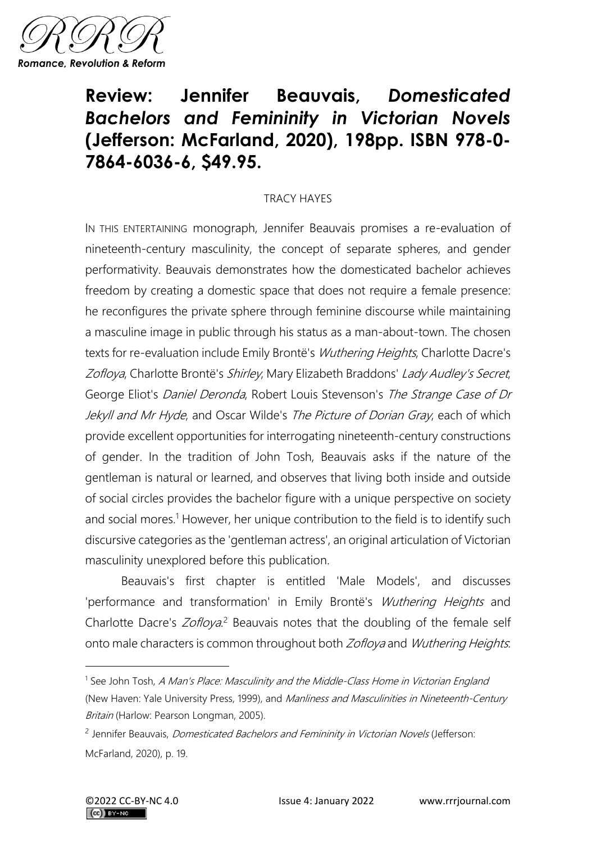

## **Review: Jennifer Beauvais,** *Domesticated Bachelors and Femininity in Victorian Novels* **(Jefferson: McFarland, 2020), 198pp. ISBN 978-0- 7864-6036-6, \$49.95.**

## TRACY HAYES

IN THIS ENTERTAINING monograph, Jennifer Beauvais promises a re-evaluation of nineteenth-century masculinity, the concept of separate spheres, and gender performativity. Beauvais demonstrates how the domesticated bachelor achieves freedom by creating a domestic space that does not require a female presence: he reconfigures the private sphere through feminine discourse while maintaining a masculine image in public through his status as a man-about-town. The chosen texts for re-evaluation include Emily Brontë's Wuthering Heights, Charlotte Dacre's Zofloya, Charlotte Brontë's Shirley, Mary Elizabeth Braddons' Lady Audley's Secret, George Eliot's Daniel Deronda, Robert Louis Stevenson's The Strange Case of Dr Jekyll and Mr Hyde, and Oscar Wilde's The Picture of Dorian Gray, each of which provide excellent opportunities for interrogating nineteenth-century constructions of gender. In the tradition of John Tosh, Beauvais asks if the nature of the gentleman is natural or learned, and observes that living both inside and outside of social circles provides the bachelor figure with a unique perspective on society and social mores.<sup>1</sup> However, her unique contribution to the field is to identify such discursive categories as the 'gentleman actress', an original articulation of Victorian masculinity unexplored before this publication.

Beauvais's first chapter is entitled 'Male Models', and discusses 'performance and transformation' in Emily Brontë's Wuthering Heights and Charlotte Dacre's Zofloya.<sup>2</sup> Beauvais notes that the doubling of the female self onto male characters is common throughout both Zofloya and Wuthering Heights.

<sup>&</sup>lt;sup>1</sup> See John Tosh, A Man's Place: Masculinity and the Middle-Class Home in Victorian England (New Haven: Yale University Press, 1999), and Manliness and Masculinities in Nineteenth-Century Britain (Harlow: Pearson Longman, 2005).

<sup>&</sup>lt;sup>2</sup> Jennifer Beauvais, *Domesticated Bachelors and Femininity in Victorian Novels* (Jefferson: McFarland, 2020), p. 19.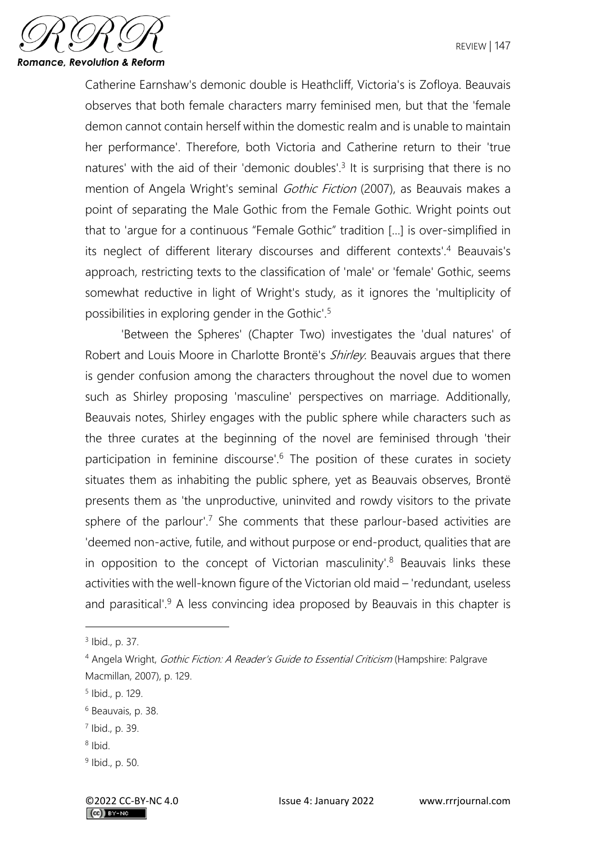

Catherine Earnshaw's demonic double is Heathcliff, Victoria's is Zofloya. Beauvais observes that both female characters marry feminised men, but that the 'female demon cannot contain herself within the domestic realm and is unable to maintain her performance'. Therefore, both Victoria and Catherine return to their 'true natures' with the aid of their 'demonic doubles'.<sup>3</sup> It is surprising that there is no mention of Angela Wright's seminal *Gothic Fiction* (2007), as Beauvais makes a point of separating the Male Gothic from the Female Gothic. Wright points out that to 'argue for a continuous "Female Gothic" tradition […] is over-simplified in its neglect of different literary discourses and different contexts'.<sup>4</sup> Beauvais's approach, restricting texts to the classification of 'male' or 'female' Gothic, seems somewhat reductive in light of Wright's study, as it ignores the 'multiplicity of possibilities in exploring gender in the Gothic'.<sup>5</sup>

'Between the Spheres' (Chapter Two) investigates the 'dual natures' of Robert and Louis Moore in Charlotte Brontë's *Shirley*. Beauvais argues that there is gender confusion among the characters throughout the novel due to women such as Shirley proposing 'masculine' perspectives on marriage. Additionally, Beauvais notes, Shirley engages with the public sphere while characters such as the three curates at the beginning of the novel are feminised through 'their participation in feminine discourse'.<sup>6</sup> The position of these curates in society situates them as inhabiting the public sphere, yet as Beauvais observes, Brontë presents them as 'the unproductive, uninvited and rowdy visitors to the private sphere of the parlour'.<sup>7</sup> She comments that these parlour-based activities are 'deemed non-active, futile, and without purpose or end-product, qualities that are in opposition to the concept of Victorian masculinity'.<sup>8</sup> Beauvais links these activities with the well-known figure of the Victorian old maid – 'redundant, useless and parasitical'. $9$  A less convincing idea proposed by Beauvais in this chapter is

8 Ibid.

<sup>3</sup> Ibid., p. 37.

<sup>&</sup>lt;sup>4</sup> Angela Wright, *Gothic Fiction: A Reader's Guide to Essential Criticism* (Hampshire: Palgrave Macmillan, 2007), p. 129.

<sup>5</sup> Ibid., p. 129.

<sup>6</sup> Beauvais, p. 38.

<sup>7</sup> Ibid., p. 39.

<sup>&</sup>lt;sup>9</sup> Ibid., p. 50.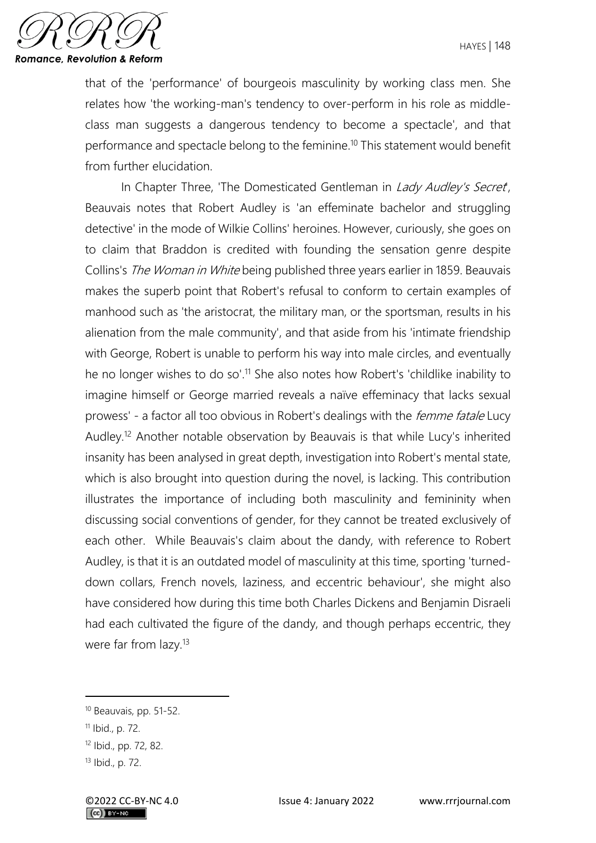

that of the 'performance' of bourgeois masculinity by working class men. She relates how 'the working-man's tendency to over-perform in his role as middleclass man suggests a dangerous tendency to become a spectacle', and that performance and spectacle belong to the feminine.<sup>10</sup> This statement would benefit from further elucidation.

In Chapter Three, 'The Domesticated Gentleman in Lady Audley's Secret, Beauvais notes that Robert Audley is 'an effeminate bachelor and struggling detective' in the mode of Wilkie Collins' heroines. However, curiously, she goes on to claim that Braddon is credited with founding the sensation genre despite Collins's The Woman in White being published three years earlier in 1859. Beauvais makes the superb point that Robert's refusal to conform to certain examples of manhood such as 'the aristocrat, the military man, or the sportsman, results in his alienation from the male community', and that aside from his 'intimate friendship with George, Robert is unable to perform his way into male circles, and eventually he no longer wishes to do so'.<sup>11</sup> She also notes how Robert's 'childlike inability to imagine himself or George married reveals a naïve effeminacy that lacks sexual prowess' - a factor all too obvious in Robert's dealings with the *femme fatale* Lucy Audley.<sup>12</sup> Another notable observation by Beauvais is that while Lucy's inherited insanity has been analysed in great depth, investigation into Robert's mental state, which is also brought into question during the novel, is lacking. This contribution illustrates the importance of including both masculinity and femininity when discussing social conventions of gender, for they cannot be treated exclusively of each other. While Beauvais's claim about the dandy, with reference to Robert Audley, is that it is an outdated model of masculinity at this time, sporting 'turneddown collars, French novels, laziness, and eccentric behaviour', she might also have considered how during this time both Charles Dickens and Benjamin Disraeli had each cultivated the figure of the dandy, and though perhaps eccentric, they were far from lazy.<sup>13</sup>

<sup>10</sup> Beauvais, pp. 51-52.

<sup>11</sup> Ibid., p. 72.

<sup>12</sup> Ibid., pp. 72, 82.

<sup>13</sup> Ibid., p. 72.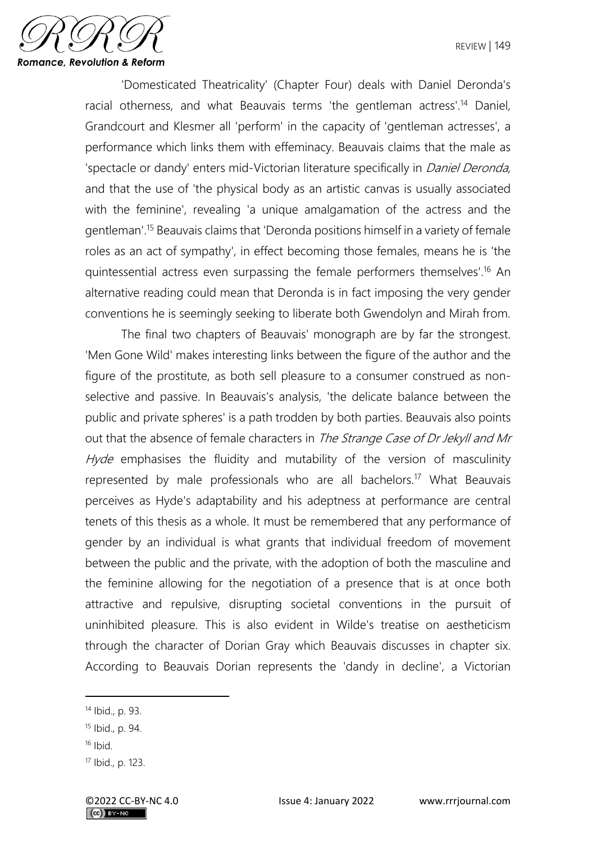

'Domesticated Theatricality' (Chapter Four) deals with Daniel Deronda's racial otherness, and what Beauvais terms 'the gentleman actress'.<sup>14</sup> Daniel, Grandcourt and Klesmer all 'perform' in the capacity of 'gentleman actresses', a performance which links them with effeminacy. Beauvais claims that the male as 'spectacle or dandy' enters mid-Victorian literature specifically in *Daniel Deronda*, and that the use of 'the physical body as an artistic canvas is usually associated with the feminine', revealing 'a unique amalgamation of the actress and the gentleman'.<sup>15</sup> Beauvais claims that 'Deronda positions himself in a variety of female roles as an act of sympathy', in effect becoming those females, means he is 'the quintessential actress even surpassing the female performers themselves'.<sup>16</sup> An alternative reading could mean that Deronda is in fact imposing the very gender conventions he is seemingly seeking to liberate both Gwendolyn and Mirah from.

The final two chapters of Beauvais' monograph are by far the strongest. 'Men Gone Wild' makes interesting links between the figure of the author and the figure of the prostitute, as both sell pleasure to a consumer construed as nonselective and passive. In Beauvais's analysis, 'the delicate balance between the public and private spheres' is a path trodden by both parties. Beauvais also points out that the absence of female characters in The Strange Case of Dr Jekyll and Mr Hyde emphasises the fluidity and mutability of the version of masculinity represented by male professionals who are all bachelors.<sup>17</sup> What Beauvais perceives as Hyde's adaptability and his adeptness at performance are central tenets of this thesis as a whole. It must be remembered that any performance of gender by an individual is what grants that individual freedom of movement between the public and the private, with the adoption of both the masculine and the feminine allowing for the negotiation of a presence that is at once both attractive and repulsive, disrupting societal conventions in the pursuit of uninhibited pleasure. This is also evident in Wilde's treatise on aestheticism through the character of Dorian Gray which Beauvais discusses in chapter six. According to Beauvais Dorian represents the 'dandy in decline', a Victorian

<sup>14</sup> Ibid., p. 93.

<sup>15</sup> Ibid., p. 94.

 $16$  Ibid.

<sup>17</sup> Ibid., p. 123.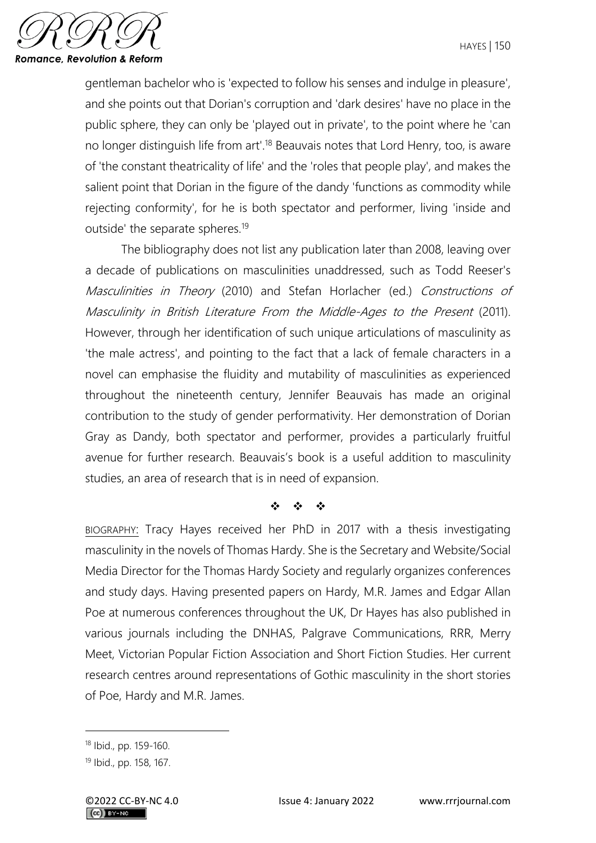

gentleman bachelor who is 'expected to follow his senses and indulge in pleasure', and she points out that Dorian's corruption and 'dark desires' have no place in the public sphere, they can only be 'played out in private', to the point where he 'can no longer distinguish life from art<sup>'18</sup> Beauvais notes that Lord Henry, too, is aware of 'the constant theatricality of life' and the 'roles that people play', and makes the salient point that Dorian in the figure of the dandy 'functions as commodity while rejecting conformity', for he is both spectator and performer, living 'inside and outside' the separate spheres.<sup>19</sup>

The bibliography does not list any publication later than 2008, leaving over a decade of publications on masculinities unaddressed, such as Todd Reeser's Masculinities in Theory (2010) and Stefan Horlacher (ed.) Constructions of Masculinity in British Literature From the Middle-Ages to the Present (2011). However, through her identification of such unique articulations of masculinity as 'the male actress', and pointing to the fact that a lack of female characters in a novel can emphasise the fluidity and mutability of masculinities as experienced throughout the nineteenth century, Jennifer Beauvais has made an original contribution to the study of gender performativity. Her demonstration of Dorian Gray as Dandy, both spectator and performer, provides a particularly fruitful avenue for further research. Beauvais's book is a useful addition to masculinity studies, an area of research that is in need of expansion.

## ❖ ❖ ❖

BIOGRAPHY: Tracy Hayes received her PhD in 2017 with a thesis investigating masculinity in the novels of Thomas Hardy. She is the Secretary and Website/Social Media Director for the Thomas Hardy Society and regularly organizes conferences and study days. Having presented papers on Hardy, M.R. James and Edgar Allan Poe at numerous conferences throughout the UK, Dr Hayes has also published in various journals including the DNHAS, Palgrave Communications, RRR, Merry Meet, Victorian Popular Fiction Association and Short Fiction Studies. Her current research centres around representations of Gothic masculinity in the short stories of Poe, Hardy and M.R. James.

<sup>18</sup> Ibid., pp. 159-160.

<sup>19</sup> Ibid., pp. 158, 167.